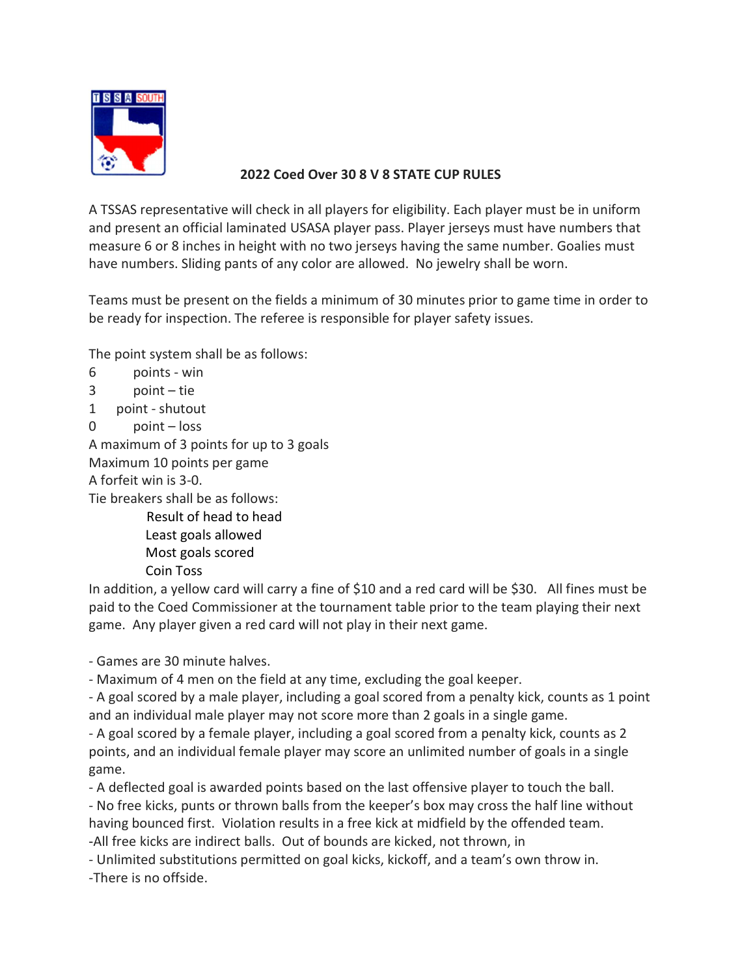

## 2022 Coed Over 30 8 V 8 STATE CUP RULES

A TSSAS representative will check in all players for eligibility. Each player must be in uniform and present an official laminated USASA player pass. Player jerseys must have numbers that measure 6 or 8 inches in height with no two jerseys having the same number. Goalies must have numbers. Sliding pants of any color are allowed. No jewelry shall be worn.

Teams must be present on the fields a minimum of 30 minutes prior to game time in order to be ready for inspection. The referee is responsible for player safety issues.

The point system shall be as follows:

```
6 points - win
```

```
3 point – tie
```
1 point - shutout

```
0 point – loss
```
A maximum of 3 points for up to 3 goals

Maximum 10 points per game

A forfeit win is 3-0.

Tie breakers shall be as follows:

 Result of head to head Least goals allowed

Most goals scored

Coin Toss

In addition, a yellow card will carry a fine of \$10 and a red card will be \$30. All fines must be paid to the Coed Commissioner at the tournament table prior to the team playing their next game. Any player given a red card will not play in their next game.

- Games are 30 minute halves.

- Maximum of 4 men on the field at any time, excluding the goal keeper.

- A goal scored by a male player, including a goal scored from a penalty kick, counts as 1 point and an individual male player may not score more than 2 goals in a single game.

- A goal scored by a female player, including a goal scored from a penalty kick, counts as 2 points, and an individual female player may score an unlimited number of goals in a single game.

- A deflected goal is awarded points based on the last offensive player to touch the ball.

- No free kicks, punts or thrown balls from the keeper's box may cross the half line without having bounced first. Violation results in a free kick at midfield by the offended team. -All free kicks are indirect balls. Out of bounds are kicked, not thrown, in

- Unlimited substitutions permitted on goal kicks, kickoff, and a team's own throw in.

-There is no offside.